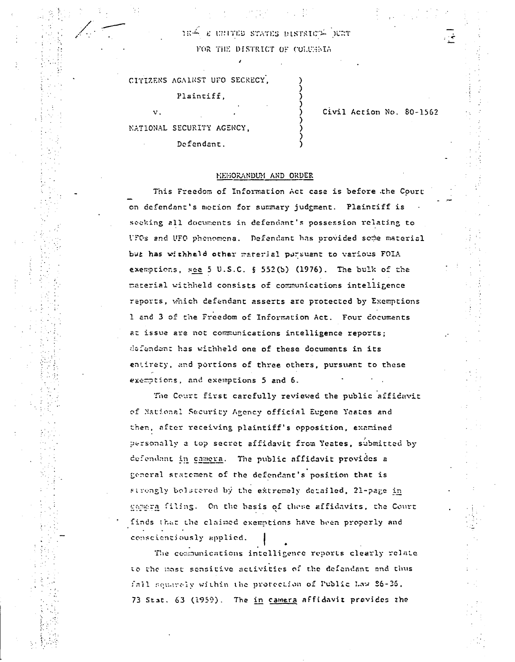184 E UNITED STATES DISTRICT DURT FOR THE DISTRICT OF COLUMNIA

CITIZENS AGAINST UFO SECRECY,

Plaintiff.

NATIONAL SECURITY AGENCY, Defendant.

 $\mathbf{v}$  .

Civil Action No. 80-1562

## MEMORANDUM AND ORDER

This Freedom of Information Act case is before the Court on defendant's motion for summary judgment. Plaintiff is seeking all documents in defendant's possession relating to UFOs and UFO phenomena. Defendant has provided some material but has withheld other material pursuant to various FOIA exemptions, see 5 U.S.C. § 552(b) (1976). The bulk of the material withheld consists of communications intelligence reports, which defendant asserts are protected by Exemptions 1 and 3 of the Freedom of Information Act. Four documents at issue are not communications intelligence reports; defendant has withheld one of these documents in its entirety, and portions of three others, pursuant to these exemptions, and exemptions 5 and 6.

The Court first carefully reviewed the public affidavit of National Security Agency official Eugene Yeates and then, after receiving plaintiff's opposition, examined personally a top secret affidavit from Yeates, submitted by defendant in camera. The public affidavit provides a general statement of the defendant's position that is strongly bolstered by the extremely detailed, 21-page in genera filing. On the basis of these affidavits, the Court finds that the claimed exemptions have been properly and conscientiously applied.

The communications intelligence reports clearly relate to the most sensitive activities of the defendant and thus fail squarely within the protection of Public Law 26-36, 73 Stat. 63 (1959). The in camera affidavit prevides the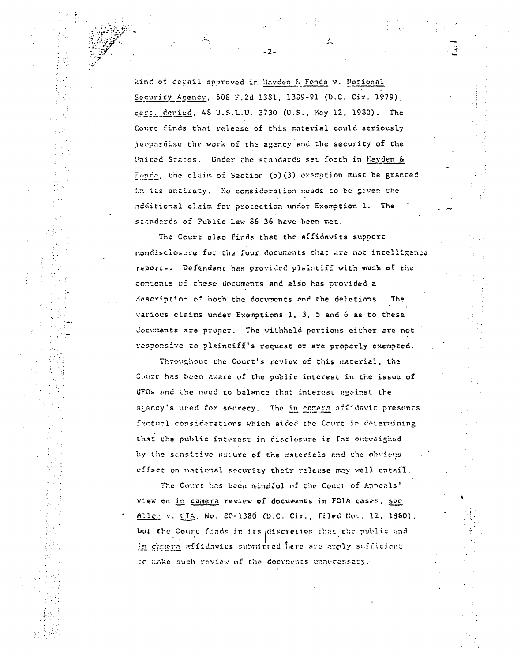kind of depail approved in Hayden & Fonda v. National Security Agency, 608 F.2d 1331, 1389-91 (D.C. Cir. 1979), cert. denied, 48 U.S.L.W. 3730 (U.S., May 12, 1930). The Court finds that release of this material could seriously jeopardize the work of the agency and the security of the United States. Under the standards set forth in Hayden & Fonda, the claim of Section (b) (3) exemption must be granted in its entirety. He consideration needs to be given the additional claim for protection under Exemption 1. The standards of Public Law 86-36 have been met.

 $-2-$ 

The Court also finds that the affidavits support nondisclosure for the four documents that are not intelligence reports. Defendant has provided plaintiff with much of the contents of these documents and also has provided a description of both the documents and the deletions. The various claims under Exemptions 1, 3, 5 and 6 as to these documents are proper. The withheld portions either are not responsive to plaintiff's request or are properly exempted.

Throughout the Court's review of this material, the Court has been aware of the public interest in the issue of UFOs and the need to balance that interest against the agency's need for secrecy. The in camera affidavit presents factual considerations which aided the Court in determining that the public interest in disclesure is far outweighed by the sensitive nature of the materials and the obvious effect on national security their release may well entail.

The Court has been mindful of the Court of Appeals' view on in camera review of documents in FOIA cases, see Allen v. CIA, No. 20-1380 (D.C. Cir., filed Nov. 12, 1980), but the Court finds in its discretion that the public and in comers affidavits submitted here are amply sufficient to make such review of the documents unnecessary.